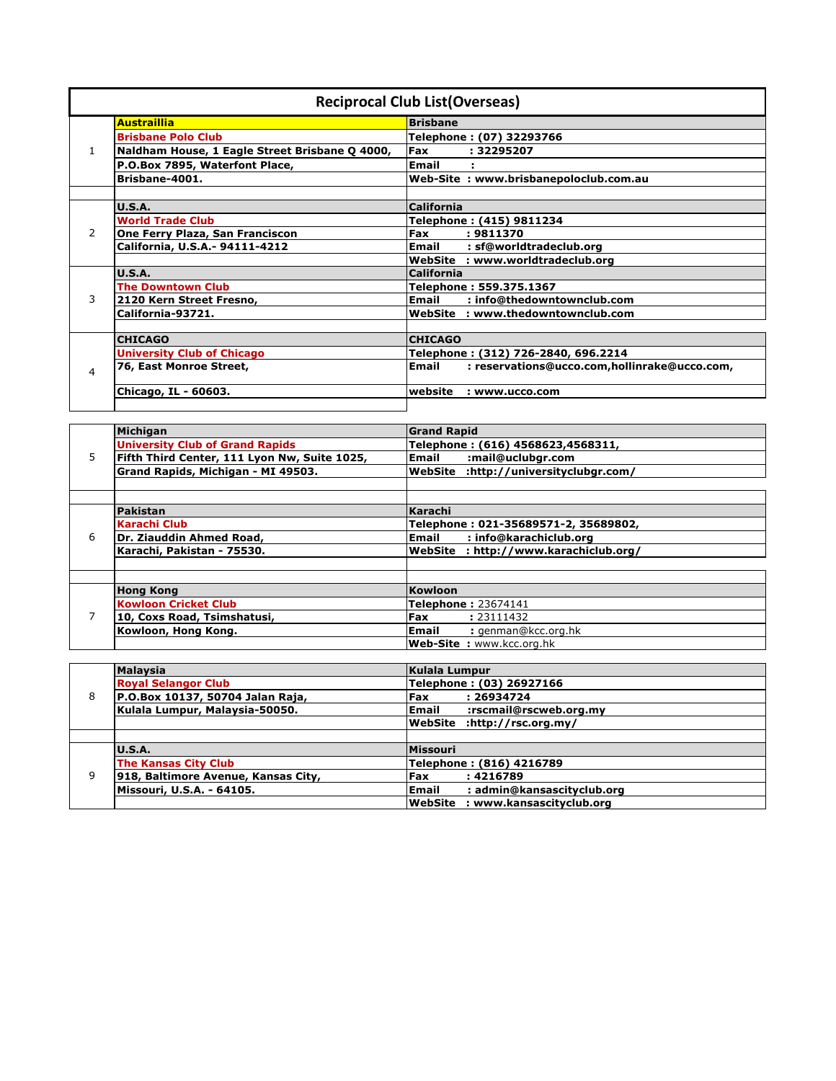| <b>Reciprocal Club List (Overseas)</b> |                                                |                                                              |
|----------------------------------------|------------------------------------------------|--------------------------------------------------------------|
|                                        | <b>Austraillia</b>                             | <b>Brisbane</b>                                              |
|                                        | <b>Brisbane Polo Club</b>                      | Telephone: (07) 32293766                                     |
|                                        | Naldham House, 1 Eagle Street Brisbane Q 4000, | Fax<br>: 32295207                                            |
|                                        | P.O.Box 7895, Waterfont Place,                 | Email                                                        |
|                                        | Brisbane-4001.                                 | Web-Site: www.brisbanepoloclub.com.au                        |
|                                        |                                                |                                                              |
|                                        | U.S.A.                                         | <b>California</b>                                            |
|                                        | <b>World Trade Club</b>                        | Telephone: (415) 9811234                                     |
| $\mathcal{P}$                          | One Ferry Plaza, San Franciscon                | Fax<br>: 9811370                                             |
|                                        | California, U.S.A. - 94111-4212                | Email<br>: sf@worldtradeclub.org                             |
|                                        |                                                | WebSite : www.worldtradeclub.org                             |
|                                        | U.S.A.                                         | <b>California</b>                                            |
|                                        | <b>The Downtown Club</b>                       | Telephone: 559.375.1367                                      |
| 3                                      | 2120 Kern Street Fresno,                       | <b>Email</b><br>: info@thedowntownclub.com                   |
|                                        | California-93721.                              | WebSite : www.thedowntownclub.com                            |
|                                        |                                                |                                                              |
| 4                                      | <b>CHICAGO</b>                                 | <b>CHICAGO</b>                                               |
|                                        | <b>University Club of Chicago</b>              | Telephone: (312) 726-2840, 696.2214                          |
|                                        | 76, East Monroe Street,                        | <b>Email</b><br>: reservations@ucco.com,hollinrake@ucco.com, |
|                                        | Chicago, IL - 60603.                           | website<br>: www.ucco.com                                    |
|                                        |                                                |                                                              |

| 5. | Michigan                                     | <b>Grand Rapid</b>                       |
|----|----------------------------------------------|------------------------------------------|
|    | <b>University Club of Grand Rapids</b>       | Telephone: (616) 4568623,4568311,        |
|    | Fifth Third Center, 111 Lyon Nw, Suite 1025, | <b>Email</b><br>:mail@uclubgr.com        |
|    | Grand Rapids, Michigan - MI 49503.           | :http://universityclubgr.com/<br>WebSite |
|    |                                              |                                          |
|    |                                              |                                          |
|    | Pakistan                                     | Karachi                                  |
|    | <b>Karachi Club</b>                          | Telephone: 021-35689571-2, 35689802,     |
| 6  | Dr. Ziauddin Ahmed Road,                     | : info@karachiclub.org<br>Email          |
|    | Karachi, Pakistan - 75530.                   | WebSite: http://www.karachiclub.org/     |
|    |                                              |                                          |
|    |                                              |                                          |
| 7  | <b>Hong Kong</b>                             | Kowloon                                  |
|    | <b>Kowloon Cricket Club</b>                  | Telephone: 23674141                      |
|    | 10, Coxs Road, Tsimshatusi,                  | Fax<br>: 23111432                        |
|    | Kowloon, Hong Kong.                          | : genman@kcc.org.hk<br>Email             |
|    |                                              | <b>Web-Site : www.kcc.org.hk</b>         |

| 8 | <b>Malaysia</b>                     | Kulala Lumpur                              |
|---|-------------------------------------|--------------------------------------------|
|   | <b>Royal Selangor Club</b>          | Telephone: (03) 26927166                   |
|   | P.O.Box 10137, 50704 Jalan Raja,    | Fax<br>: 26934724                          |
|   | Kulala Lumpur, Malaysia-50050.      | :rscmail@rscweb.org.my<br><b>Email</b>     |
|   |                                     | lWebSite<br>:http://rsc.org.my/            |
|   |                                     |                                            |
| 9 | U.S.A.                              | Missouri                                   |
|   | <b>The Kansas City Club</b>         | Telephone: (816) 4216789                   |
|   | 918, Baltimore Avenue, Kansas City, | Fax<br>: 4216789                           |
|   | Missouri, U.S.A. - 64105.           | <b>Email</b><br>: admin@kansascityclub.org |
|   |                                     | WebSite : www.kansascityclub.org           |